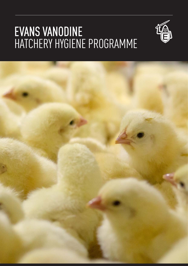## EVANS VANODINE HATCHERY HYGIENE PROGRAMME



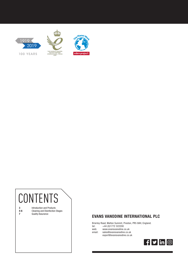

# CONTENTS

3 4-6 7

Introduction and Products Cleaning and Disinfection Stages Quality Assurance

### EVANS VANODINE INTERNATIONAL PLC

Brierley Road, Walton Summit, Preston, PR5 8AH, England. tel: +44 (0)1772 322200

web: www.evansvanodine.co.uk

email: sales@evansvanodine.co.uk export@evansvanodine.co.uk

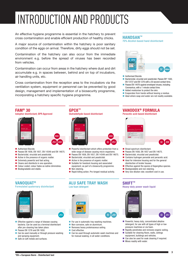# INTRODUCTION AND PRODUCTS

An effective hygiene programme is essential in the hatchery to prevent cross contamination and enable efficient production of healthy chicks.

A major source of contamination within the hatchery is poor sanitary condition of the eggs on arrival. Therefore, dirty eggs should not be set.

Contamination of the hatchery can also occur from the immediate environment e.g. before the spread of viruses has been recorded from vehicles.

Contamination can occur from areas in the hatchery where dust and dirt accumulate e.g. in spaces between, behind and on top of incubators, air handling units, etc.

Cross contamination from the reception area to the incubators via the ventilation system, equipment or personnel can be prevented by good design, management and implementation of a biosecurity programme, incorporating a hatchery specific hygiene programme.

#### FAM® 30

Iodophor disinfectant; BPR Approved





- **Passes EN 1656, EN 1657, EN 14349 and EN 14675.**
- Bactericidal, virucidal and veasticidal.
- Active in the presence of organic matter.
- Extremely powerful and fast acting.
- Cleans and disinfects in one operation.
- Colour coded; colour fades as iodine diminishes.
- Biodegradable and stable.

### GPC8™

Glutraldehyde-based disinfectant



- Powerful disinfectant which offers protection from a wide range of disease causing micro-organisms.
- **Passes EN 1656, EN 1657, EN 14349 and EN 14675.**
- Bactericidal, virucidal and yeasticidal.
- Active in the presence of organic matter.
- Suitable for livestock housing and associated equipment, as part of a biosecurity programme.
- Non-staining.
- Rapid killing action. Pro-longed residual activity.

#### VANOQUAT®

#### Formulated quaternary disinfectant



- **Effective against a range of disease causing** bacteria. Can be used as a terminal disinfectant after pre-cleaning has taken place.
- Passes EN 1276 and EN 1650.
- Can be used manually or through pressure washing and spraying equipment.
- Safe on soft metals and surfaces

#### ALU SAFE TRAY WASH Low foam detergent



- For use in automatic tray washing machines.<br>Referencive safe on aluminium
- Non-corrosive, safe on aluminium.
- Removes heavy proteinaceous soiling.
- Cost effective.

.<br>25 I

Can be used through automatic wash machines and for manual soaking, in all water conditions.

#### HANDSAN™

70% Alcohol-based hand disinfectant



- Authorised Biocide.
- Bactericidal, virucidal and veasticidal, Passes EN\* 1500, EN 13727 and EN 1276 with a 30 second contact time.
- Passes EN 14476 against enveloped viruses, including Coronavirus, with a 1 minute contact time.
- Added moisturiser to protect the skin.
- Evaporates from hands without leaving a residue.
- $\blacksquare$  Ideal where soap and water are not readily available.

### VANODOX® FORMULA

Peracetic acid-based disinfectant



- $\blacksquare$  Broad spectrum disinfectant.
- **Passes EN 1656, EN 1657 and EN 14675.**
- Bactericidal, virucidal and veasticidal.
- Contains hydrogen peroxide and peracetic acid.
- $\blacksquare$  Ideal for intensive housing and for the general disinfection of broiler houses.
- **Effective against the spores of Aspergillus species.**
- Biodegradable and non-staining.
- Very low dilution rate; excellent cost in use.

#### SHIFT™

#### Heavy-duty power wash liquid





- Powerful, heavy duty, concentrated alkaline detergent, for use with all types of high or low pressure machines or via foam.
- $\blacksquare$  Rapidly penetrates and removes organic soiling. ■ Suitable for cleaning floors, walls, ceilings
- equipment, buildings and vehicles.
- Can also be used for soak cleaning if required.  $\blacksquare$  Mixes readily with water.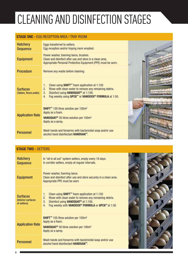# CLEANING AND DISINFECTION STAGES

#### STAGE ONE - EGG RECEPTION AREA / TRAY ROOM

| <b>Hatchery</b><br><b>Sequence</b>         | Eggs transferred to setters.<br>Egg reception and/or traying room emptied.                                                                                                                                                                           |  |
|--------------------------------------------|------------------------------------------------------------------------------------------------------------------------------------------------------------------------------------------------------------------------------------------------------|--|
| <b>Equipment</b>                           | Power washer, foaming lance, brushes.<br>Clean and disinfect after use and store in a clean area.<br>Appropriate Personal Protective Equipment (PPE) must be worn.                                                                                   |  |
| <b>Procedure</b>                           | Remove any waste before cleaning.                                                                                                                                                                                                                    |  |
| <b>Surfaces</b><br>(Tables, floors, walls) | Clean using SHIFT <sup>™</sup> foam application at 1:150<br>1.<br>Rinse with clean water to remove any remaining debris.<br>2.<br>Disinfect using VANOQUAT <sup>®</sup> at 1:100.<br>3.<br>Fog weekly using GPC8™ or VANODOX® FORMULA at 1:50.<br>4. |  |
| <b>Application Rate</b>                    | <b>SHIFT™</b> 100 litres solution per 100m <sup>2</sup><br>Apply as a foam.<br>VANOQUAT <sup>®</sup> 30 litres solution per 100m <sup>2</sup><br>Apply as a spray.                                                                                   |  |
| <b>Personnel</b>                           | Wash hands and forearms with bactericidal soap and/or use<br>alcohol hand disinfectant HANDSAN <sup>™</sup> .                                                                                                                                        |  |

#### STAGE TWO - SETTERS **Hatchery Sequence** In "all in all out" system setters, empty every 18 days. In corridor setters, empty at regular intervals. Equipment Power washer, foaming lance. Clean and disinfect after use and store securely in a clean area. Appropriate PPE must be worn **Surfaces** (Interior surfaces of setters) 1. Clean using SHIFT™ foam application at 1:150 2. Rinse with clean water to remove any remaining debris. 3. Disinfect using VANOQUAT® at 1:100. 4. Fog weekly with VANODOX® FORMULA or GPC8™ at 1:50 Application Rate SHIFT<sup>™</sup> 100 litres solution per 100m<sup>2</sup> Apply as a foam. VANOQUAT® 30 litres solution per 100m² Apply as a spray. **Personnel Wash hands and forearms with bactericidal soap and/or use** alcohol hand disinfectant HANDSAN™.

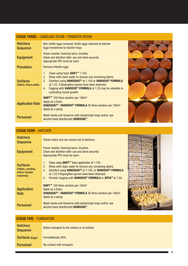### STAGE THREE - CANDLING ROOM / TRANSFER ROOM

| <b>Hatchery</b><br><b>Sequence</b>         | Non-fertile eggs removed, fertile eggs returned to hatcher<br>Eggs transferred to hatcher trays                                                                                                                                                                                                                                                                                     |  |  |
|--------------------------------------------|-------------------------------------------------------------------------------------------------------------------------------------------------------------------------------------------------------------------------------------------------------------------------------------------------------------------------------------------------------------------------------------|--|--|
| <b>Equipment</b>                           | Power washer, foaming lance, brushes<br>Clean and disinfect after use and store securely<br>Appropriate PPE must be worn                                                                                                                                                                                                                                                            |  |  |
| <b>Procedure</b>                           | Remove infertile eggs                                                                                                                                                                                                                                                                                                                                                               |  |  |
| <b>Surfaces</b><br>(Tables, floors, walls) | Clean using foam SHIFT <sup>™</sup> 1:150<br>1.<br>Rinse with clean water to remove any remaining debris.<br>2.<br>Disinfect using VANOQUAT <sup>®</sup> at 1:100 or VANODOX <sup>®</sup> FORMULA<br>3 <sub>1</sub><br>at 1:25 if Aspergillus spores have been detected.<br>Fogging with VANODOX <sup>®</sup> FORMULA at 1:25 may be valuable in<br>4.<br>controlling mould growth. |  |  |
| <b>Application Rate</b>                    | <b>SHIFT™</b> 100 litres solution per 100m <sup>2</sup><br>Apply as a foam.<br>VANOQUAT <sup>®</sup> / VANODOX <sup>®</sup> FORMULA 30 litres solution per 100m <sup>2</sup><br>Apply as a spray.                                                                                                                                                                                   |  |  |
| <b>Personnel</b>                           | Wash hands and forearms with bactericidal soap and/or use<br>alcohol hand disinfectant HANDSAN <sup>™</sup> .                                                                                                                                                                                                                                                                       |  |  |



### STAGE FOUR - HATCHER

| <b>Hatchery</b><br><b>Sequence</b>                                   | Chicks hatch and are moved out of hatchery.                                                                                                                                                                                                                                                                                                                       |  |
|----------------------------------------------------------------------|-------------------------------------------------------------------------------------------------------------------------------------------------------------------------------------------------------------------------------------------------------------------------------------------------------------------------------------------------------------------|--|
| <b>Equipment</b>                                                     | Power washer, foaming lance, brushes.<br>Clean and disinfect after use and store securely.<br>Appropriate PPE must be worn.                                                                                                                                                                                                                                       |  |
| <b>Surfaces</b><br>(Tables, candling<br>and/or transfer<br>machines) | Clean using <b>SHIFT<sup>™</sup></b> foam application at 1:150.<br>1.<br>2.<br>Rinse with clean water to remove any remaining debris.<br>3.<br>Disinfect using VANOQUAT <sup>®</sup> at 1:100, or VANODOX <sup>®</sup> FORMULA<br>at 1:25 if Aspergillus spores have been detected.<br>Periodic fogging with VANODOX <sup>®</sup> FORMULA or GPC8™ at 1:50.<br>4. |  |
| <b>Application</b><br>Rate                                           | <b>SHIFT™</b> 100 litres solution per 100m <sup>2</sup><br>Apply as a foam.<br>VANOQUAT <sup>®</sup> / VANODOX <sup>®</sup> FORMULA 30 litres solution per 100m <sup>2</sup><br>Apply as a spray.                                                                                                                                                                 |  |
| <b>Personnel</b>                                                     | Wash hands and forearms with bactericidal soap and/or use<br>alcohol hand disinfectant HANDSAN <sup>™</sup> .                                                                                                                                                                                                                                                     |  |

### STAGE FIVE - FUMIGATION

| <b>Hatchery</b><br><b>Sequence</b> | Before transport to the setters or at hatcher. |
|------------------------------------|------------------------------------------------|
| <b>Surfaces</b> (Eggs)             | Formaldehyde 38%.                              |
| <b>Personnel</b>                   | No contact with fumigant.                      |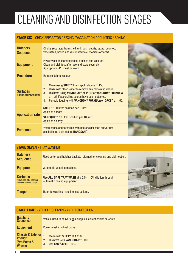# CLEANING AND DISINFECTION STAGES

#### STAGE SIX - CHICK SEPARATOR / SEXING / VACCINATION / COUNTING / BOXING

| <b>Hatchery</b><br><b>Sequence</b>          | Chicks separated from shell and hatch debris, sexed, counted,<br>vaccinated, boxed and distributed to customers or farms.                                                                                                                                                                                                                                              |  |
|---------------------------------------------|------------------------------------------------------------------------------------------------------------------------------------------------------------------------------------------------------------------------------------------------------------------------------------------------------------------------------------------------------------------------|--|
| <b>Equipment</b>                            | Power washer, foaming lance, brushes and vacuum.<br>Clean and disinfect after use and store securely.<br>Appropriate PPE must be worn.                                                                                                                                                                                                                                 |  |
| <b>Procedure</b>                            | Remove debris, vacuum.                                                                                                                                                                                                                                                                                                                                                 |  |
| <b>Surfaces</b><br>(Tables, conveyor belts) | Clean using SHIFT <sup>™</sup> foam application at 1:150.<br>1.<br>Rinse with clean water to remove any remaining debris.<br>2.<br>Disinfect using VANOQUAT <sup>®</sup> at 1:100 or VANODOX <sup>®</sup> FORMULA<br>3.<br>at 1:25 if Aspergillus spores have been detected.<br>Periodic fogging with VANODOX <sup>®</sup> FORMULA or GPC8 <sup>™</sup> at 1:50.<br>4. |  |
| <b>Application rate</b>                     | SHIFT <sup>™</sup> 100 litres solution per 100m <sup>2</sup><br>Apply as a foam.<br><b>VANOQUAT<sup>®</sup> 30 litres solution per 100m<sup>2</sup></b><br>Apply as a spray.                                                                                                                                                                                           |  |
| <b>Personnel</b>                            | Wash hands and forearms with bactericidal soap and/or use<br>alcohol hand disinfectant HANDSAN <sup>™</sup> .                                                                                                                                                                                                                                                          |  |

| <b>STAGE SEVEN - TRAY WASHER</b>                                         |                                                                                        |  |  |  |
|--------------------------------------------------------------------------|----------------------------------------------------------------------------------------|--|--|--|
| <b>Hatchery</b><br><b>Sequence</b>                                       | Used setter and hatcher baskets returned for cleaning and disinfection.                |  |  |  |
| <b>Equipment</b>                                                         | Automatic washing machine.                                                             |  |  |  |
| <b>Surfaces</b><br>(Trays, baskets, washing)<br>machine stacker, tipper) | Use ALU SAFE TRAY WASH at a 0.5 - 1.0% dilution through<br>automatic dosing equipment. |  |  |  |
| <b>Temperature</b>                                                       | Refer to washing machine instructions.                                                 |  |  |  |

#### STAGE EIGHT - VEHICLE CLEANING AND DISINFECTION

| Hatchery<br><b>Sequence</b>                                                                  | Vehicle used to deliver eggs, supplies, collect chicks or waste.                                                                              |
|----------------------------------------------------------------------------------------------|-----------------------------------------------------------------------------------------------------------------------------------------------|
| <b>Equipment</b>                                                                             | Power washer, wheel baths.                                                                                                                    |
| <b>Chassis &amp; Exterior</b><br><b>Interior</b><br><b>Tyre Baths &amp;</b><br><b>Wheels</b> | Clean with SHIFT <sup>™</sup> at 1:250.<br>Disinfect with VANOQUAT <sup>®</sup> 1:100.<br>2.<br>Use <b>FAM<sup>®</sup> 30</b> at 1:100.<br>3. |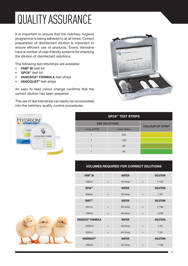# QUALITY ASSURANCE

It is important to ensure that the hatchery hygiene programme is being adhered to at all times. Correct preparation of disinfectant dilution is important to ensure efficient use of products. Evans Vanodine have a number of user-friendly systems for checking the dilution of disinfectant solutions.

The following test kits/strips are available:

- FAM® 30 test kit
- GPC8™ test kit

HYDRION

VANODOX<sup>®</sup> FORMULA test strips

 $\frac{1}{2}$ **GPCS TEST STRIP** 

• VANOQUAT® test strips

An easy to read colour change confirms that the correct dilution has been prepared.

The use of test kits/strips can easily be incorporated into the hatchery quality control procedures.



| <b>GPC8<sup>™</sup> TEST STRIPS</b> |                     |                        |  |
|-------------------------------------|---------------------|------------------------|--|
| <b>USE DILUTIONS</b>                |                     |                        |  |
| <b>Litres GPC8</b>                  | <b>Litres Water</b> | <b>COLOUR OF STRIP</b> |  |
|                                     | 200                 |                        |  |
|                                     | 100                 |                        |  |
|                                     | 80                  |                        |  |
|                                     | 50                  |                        |  |

#### VOLUMES REQUIRED FOR CORRECT DILUTIONS

| FAM <sup>®</sup> 30          |     | <b>WATER</b> |     | <b>DILUTION</b> |
|------------------------------|-----|--------------|-----|-----------------|
| 400ml                        | $+$ | 40 litres    | $=$ | 1:100           |
| GPC8™                        |     | <b>WATER</b> |     | <b>DILUTION</b> |
| 800ml                        | $+$ | 40 litres    | $=$ | 1:50            |
| <b>SHIFT™</b>                |     | <b>WATER</b> |     | <b>DILUTION</b> |
| 267ml                        | $+$ | 40 litres    | $=$ | 1:150           |
| 160ml                        | $+$ | 40 litres    | $=$ | 1:250           |
| VANODOX <sup>®</sup> FORMULA |     | <b>WATER</b> |     | <b>DILUTION</b> |
| 1600ml                       | $+$ | 40 litres    | $=$ | 1:25            |
| 800ml                        | $+$ | 40 litres    | $=$ | 1:50            |
| <b>VANOQUAT®</b>             |     | <b>WATER</b> |     | <b>DILUTION</b> |
| 400ml                        | $+$ | 40 litres    | $=$ | 1:100           |